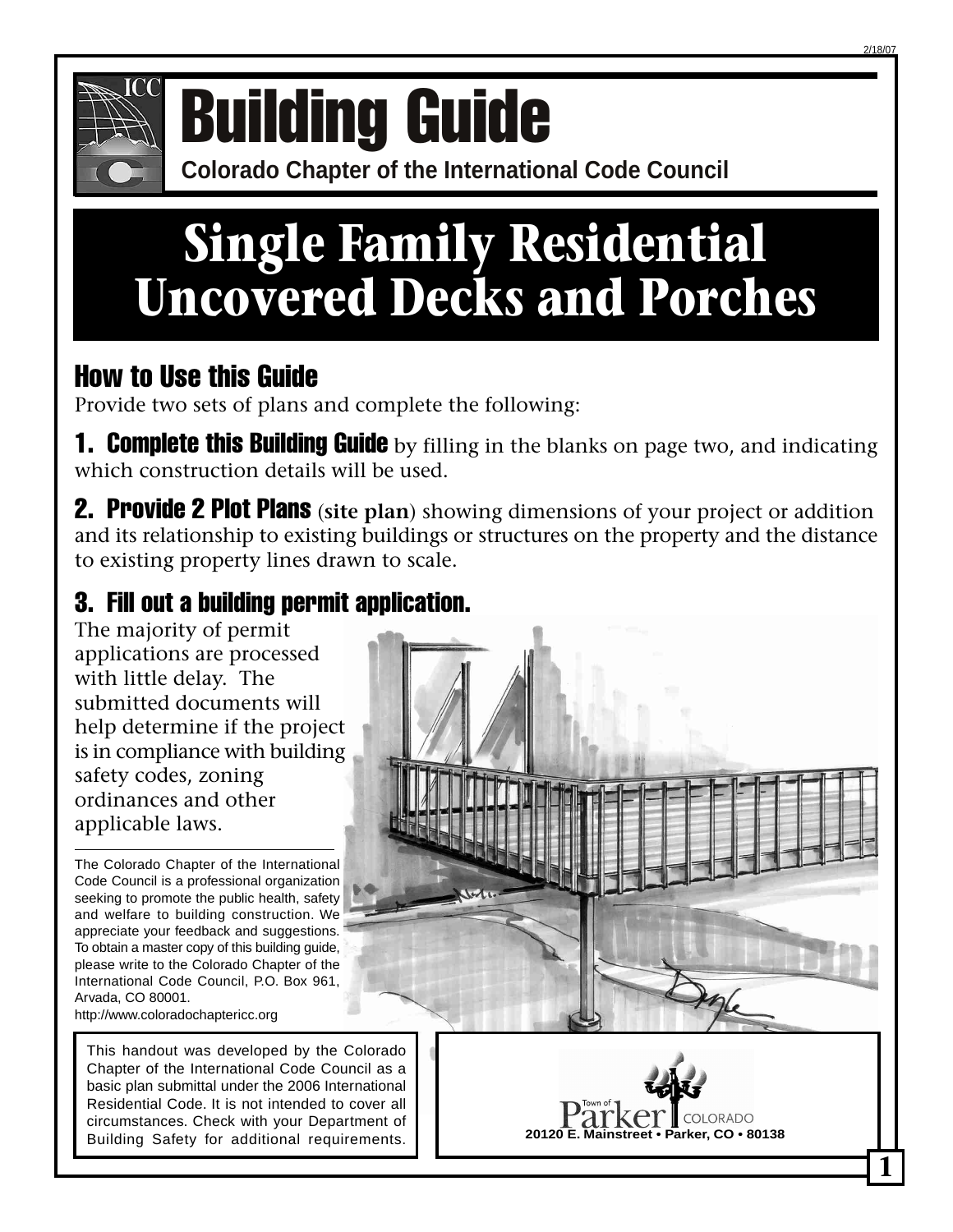

# **COMPONICE COLORATION CONFERENCE OF BUILDING GUIDE**

## **Single Family Residential Uncovered Decks and Porches**

## How to Use this Guide

Provide two sets of plans and complete the following:

**1. Complete this Building Guide** by filling in the blanks on page two, and indicating which construction details will be used.

2. Provide 2 Plot Plans (**site plan**) showing dimensions of your project or addition and its relationship to existing buildings or structures on the property and the distance to existing property lines drawn to scale.

## 3. Fill out a building permit application.

The majority of permit applications are processed with little delay. The submitted documents will help determine if the project is in compliance with building safety codes, zoning ordinances and other applicable laws.

The Colorado Chapter of the International Code Council is a professional organization seeking to promote the public health, safety and welfare to building construction. We appreciate your feedback and suggestions. To obtain a master copy of this building guide, please write to the Colorado Chapter of the International Code Council, P.O. Box 961, Arvada, CO 80001. http://www.coloradochaptericc.org

This handout was developed by the Colorado Chapter of the International Code Council as a basic plan submittal under the 2006 International Residential Code. It is not intended to cover all circumstances. Check with your Department of Building Safety for additional requirements.





**1**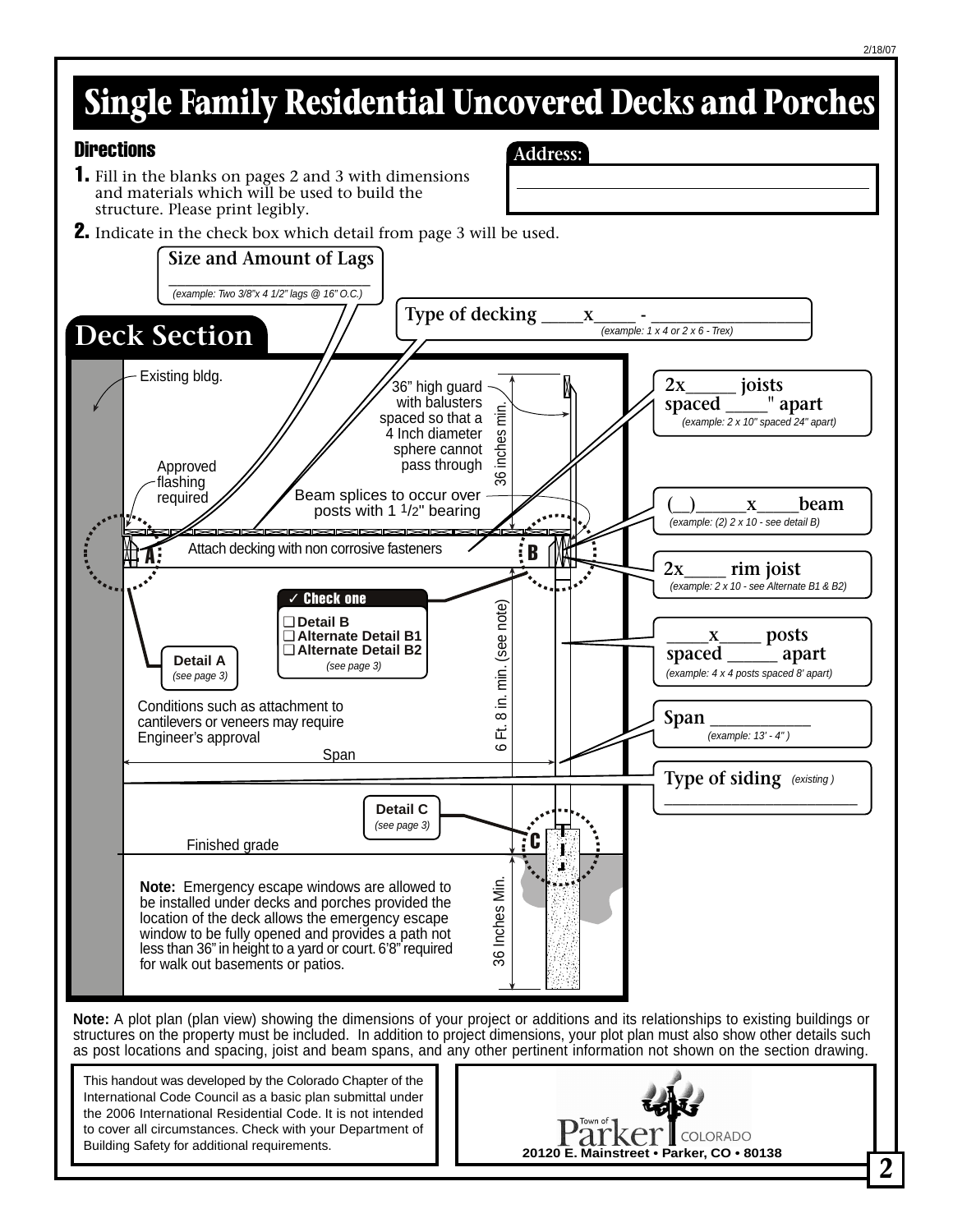## **Single Family Residential Uncovered Decks and Porches**

**Address:**

#### **Directions**

- 1. Fill in the blanks on pages 2 and 3 with dimensions and materials which will be used to build the structure. Please print legibly.
- **2.** Indicate in the check box which detail from page 3 will be used.



**Note:** A plot plan (plan view) showing the dimensions of your project or additions and its relationships to existing buildings or structures on the property must be included. In addition to project dimensions, your plot plan must also show other details such as post locations and spacing, joist and beam spans, and any other pertinent information not shown on the section drawing.

This handout was developed by the Colorado Chapter of the International Code Council as a basic plan submittal under the 2006 International Residential Code. It is not intended to cover all circumstances. Check with your Department of Building Safety for additional requirements.

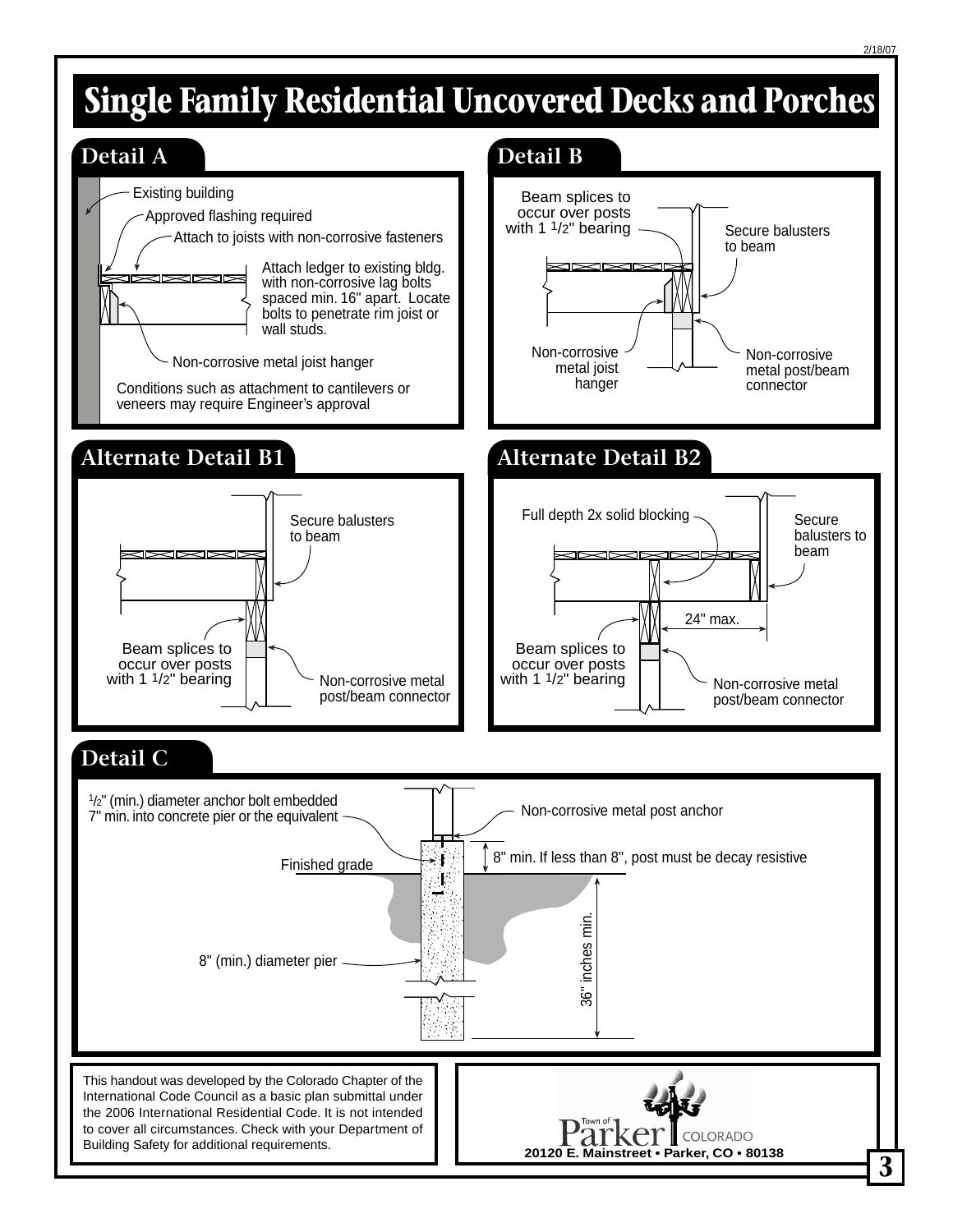## **Single Family Residential Uncovered Decks and Porches**